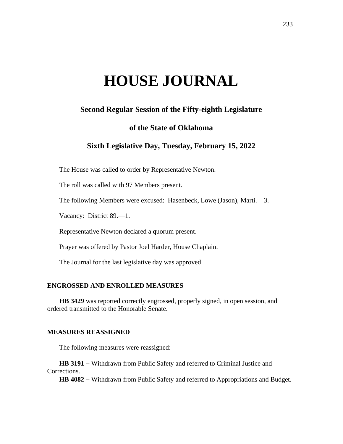# **HOUSE JOURNAL**

## **Second Regular Session of the Fifty-eighth Legislature**

### **of the State of Oklahoma**

## **Sixth Legislative Day, Tuesday, February 15, 2022**

The House was called to order by Representative Newton.

The roll was called with 97 Members present.

The following Members were excused: Hasenbeck, Lowe (Jason), Marti.—3.

Vacancy: District 89.—1.

Representative Newton declared a quorum present.

Prayer was offered by Pastor Joel Harder, House Chaplain.

The Journal for the last legislative day was approved.

#### **ENGROSSED AND ENROLLED MEASURES**

**HB 3429** was reported correctly engrossed, properly signed, in open session, and ordered transmitted to the Honorable Senate.

#### **MEASURES REASSIGNED**

The following measures were reassigned:

**HB 3191** − Withdrawn from Public Safety and referred to Criminal Justice and Corrections.

**HB 4082** − Withdrawn from Public Safety and referred to Appropriations and Budget.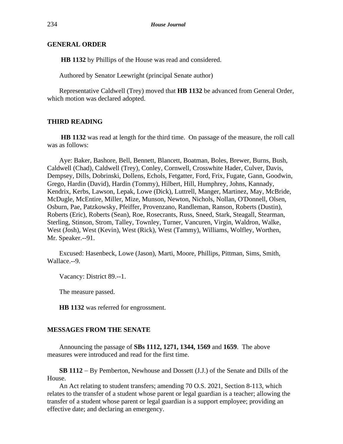#### **GENERAL ORDER**

**HB 1132** by Phillips of the House was read and considered.

Authored by Senator Leewright (principal Senate author)

Representative Caldwell (Trey) moved that **HB 1132** be advanced from General Order, which motion was declared adopted.

#### **THIRD READING**

**HB 1132** was read at length for the third time. On passage of the measure, the roll call was as follows:

Aye: Baker, Bashore, Bell, Bennett, Blancett, Boatman, Boles, Brewer, Burns, Bush, Caldwell (Chad), Caldwell (Trey), Conley, Cornwell, Crosswhite Hader, Culver, Davis, Dempsey, Dills, Dobrinski, Dollens, Echols, Fetgatter, Ford, Frix, Fugate, Gann, Goodwin, Grego, Hardin (David), Hardin (Tommy), Hilbert, Hill, Humphrey, Johns, Kannady, Kendrix, Kerbs, Lawson, Lepak, Lowe (Dick), Luttrell, Manger, Martinez, May, McBride, McDugle, McEntire, Miller, Mize, Munson, Newton, Nichols, Nollan, O'Donnell, Olsen, Osburn, Pae, Patzkowsky, Pfeiffer, Provenzano, Randleman, Ranson, Roberts (Dustin), Roberts (Eric), Roberts (Sean), Roe, Rosecrants, Russ, Sneed, Stark, Steagall, Stearman, Sterling, Stinson, Strom, Talley, Townley, Turner, Vancuren, Virgin, Waldron, Walke, West (Josh), West (Kevin), West (Rick), West (Tammy), Williams, Wolfley, Worthen, Mr. Speaker.--91.

Excused: Hasenbeck, Lowe (Jason), Marti, Moore, Phillips, Pittman, Sims, Smith, Wallace.--9.

Vacancy: District 89.--1.

The measure passed.

**HB 1132** was referred for engrossment.

#### **MESSAGES FROM THE SENATE**

Announcing the passage of **SBs 1112, 1271, 1344, 1569** and **1659**. The above measures were introduced and read for the first time.

**SB 1112** − By Pemberton, Newhouse and Dossett (J.J.) of the Senate and Dills of the House.

An Act relating to student transfers; amending 70 O.S. 2021, Section 8-113, which relates to the transfer of a student whose parent or legal guardian is a teacher; allowing the transfer of a student whose parent or legal guardian is a support employee; providing an effective date; and declaring an emergency.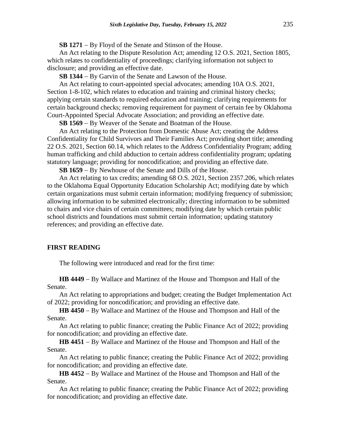**SB 1271** − By Floyd of the Senate and Stinson of the House.

An Act relating to the Dispute Resolution Act; amending 12 O.S. 2021, Section 1805, which relates to confidentiality of proceedings; clarifying information not subject to disclosure; and providing an effective date.

**SB 1344** − By Garvin of the Senate and Lawson of the House.

An Act relating to court-appointed special advocates; amending 10A O.S. 2021, Section 1-8-102, which relates to education and training and criminal history checks; applying certain standards to required education and training; clarifying requirements for certain background checks; removing requirement for payment of certain fee by Oklahoma Court-Appointed Special Advocate Association; and providing an effective date.

**SB 1569** − By Weaver of the Senate and Boatman of the House.

An Act relating to the Protection from Domestic Abuse Act; creating the Address Confidentiality for Child Survivors and Their Families Act; providing short title; amending 22 O.S. 2021, Section 60.14, which relates to the Address Confidentiality Program; adding human trafficking and child abduction to certain address confidentiality program; updating statutory language; providing for noncodification; and providing an effective date.

**SB 1659** − By Newhouse of the Senate and Dills of the House.

An Act relating to tax credits; amending 68 O.S. 2021, Section 2357.206, which relates to the Oklahoma Equal Opportunity Education Scholarship Act; modifying date by which certain organizations must submit certain information; modifying frequency of submission; allowing information to be submitted electronically; directing information to be submitted to chairs and vice chairs of certain committees; modifying date by which certain public school districts and foundations must submit certain information; updating statutory references; and providing an effective date.

#### **FIRST READING**

The following were introduced and read for the first time:

**HB 4449** − By Wallace and Martinez of the House and Thompson and Hall of the Senate.

An Act relating to appropriations and budget; creating the Budget Implementation Act of 2022; providing for noncodification; and providing an effective date.

**HB 4450** − By Wallace and Martinez of the House and Thompson and Hall of the Senate.

An Act relating to public finance; creating the Public Finance Act of 2022; providing for noncodification; and providing an effective date.

**HB 4451** − By Wallace and Martinez of the House and Thompson and Hall of the Senate.

An Act relating to public finance; creating the Public Finance Act of 2022; providing for noncodification; and providing an effective date.

**HB 4452** − By Wallace and Martinez of the House and Thompson and Hall of the Senate.

An Act relating to public finance; creating the Public Finance Act of 2022; providing for noncodification; and providing an effective date.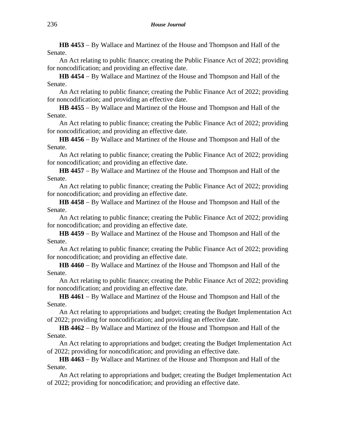**HB 4453** − By Wallace and Martinez of the House and Thompson and Hall of the Senate.

An Act relating to public finance; creating the Public Finance Act of 2022; providing for noncodification; and providing an effective date.

**HB 4454** − By Wallace and Martinez of the House and Thompson and Hall of the Senate.

An Act relating to public finance; creating the Public Finance Act of 2022; providing for noncodification; and providing an effective date.

**HB 4455** − By Wallace and Martinez of the House and Thompson and Hall of the Senate.

An Act relating to public finance; creating the Public Finance Act of 2022; providing for noncodification; and providing an effective date.

**HB 4456** − By Wallace and Martinez of the House and Thompson and Hall of the Senate.

An Act relating to public finance; creating the Public Finance Act of 2022; providing for noncodification; and providing an effective date.

**HB 4457** − By Wallace and Martinez of the House and Thompson and Hall of the Senate.

An Act relating to public finance; creating the Public Finance Act of 2022; providing for noncodification; and providing an effective date.

**HB 4458** − By Wallace and Martinez of the House and Thompson and Hall of the Senate.

An Act relating to public finance; creating the Public Finance Act of 2022; providing for noncodification; and providing an effective date.

**HB 4459** − By Wallace and Martinez of the House and Thompson and Hall of the Senate.

An Act relating to public finance; creating the Public Finance Act of 2022; providing for noncodification; and providing an effective date.

**HB 4460** − By Wallace and Martinez of the House and Thompson and Hall of the Senate.

An Act relating to public finance; creating the Public Finance Act of 2022; providing for noncodification; and providing an effective date.

**HB 4461** − By Wallace and Martinez of the House and Thompson and Hall of the Senate.

An Act relating to appropriations and budget; creating the Budget Implementation Act of 2022; providing for noncodification; and providing an effective date.

**HB 4462** − By Wallace and Martinez of the House and Thompson and Hall of the Senate.

An Act relating to appropriations and budget; creating the Budget Implementation Act of 2022; providing for noncodification; and providing an effective date.

**HB 4463** − By Wallace and Martinez of the House and Thompson and Hall of the Senate.

An Act relating to appropriations and budget; creating the Budget Implementation Act of 2022; providing for noncodification; and providing an effective date.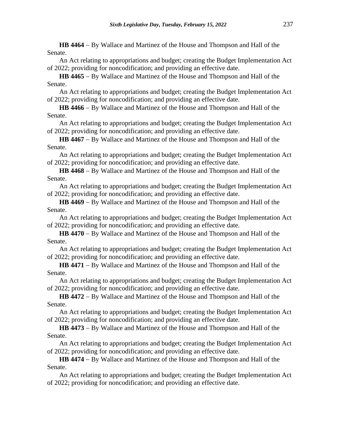**HB 4464** − By Wallace and Martinez of the House and Thompson and Hall of the Senate.

An Act relating to appropriations and budget; creating the Budget Implementation Act of 2022; providing for noncodification; and providing an effective date.

**HB 4465** − By Wallace and Martinez of the House and Thompson and Hall of the Senate.

An Act relating to appropriations and budget; creating the Budget Implementation Act of 2022; providing for noncodification; and providing an effective date.

**HB 4466** − By Wallace and Martinez of the House and Thompson and Hall of the Senate.

An Act relating to appropriations and budget; creating the Budget Implementation Act of 2022; providing for noncodification; and providing an effective date.

**HB 4467** − By Wallace and Martinez of the House and Thompson and Hall of the Senate.

An Act relating to appropriations and budget; creating the Budget Implementation Act of 2022; providing for noncodification; and providing an effective date.

**HB 4468** − By Wallace and Martinez of the House and Thompson and Hall of the Senate.

An Act relating to appropriations and budget; creating the Budget Implementation Act of 2022; providing for noncodification; and providing an effective date.

**HB 4469** − By Wallace and Martinez of the House and Thompson and Hall of the Senate.

An Act relating to appropriations and budget; creating the Budget Implementation Act of 2022; providing for noncodification; and providing an effective date.

**HB 4470** − By Wallace and Martinez of the House and Thompson and Hall of the Senate.

An Act relating to appropriations and budget; creating the Budget Implementation Act of 2022; providing for noncodification; and providing an effective date.

**HB 4471** − By Wallace and Martinez of the House and Thompson and Hall of the Senate.

An Act relating to appropriations and budget; creating the Budget Implementation Act of 2022; providing for noncodification; and providing an effective date.

**HB 4472** − By Wallace and Martinez of the House and Thompson and Hall of the Senate.

An Act relating to appropriations and budget; creating the Budget Implementation Act of 2022; providing for noncodification; and providing an effective date.

**HB 4473** − By Wallace and Martinez of the House and Thompson and Hall of the Senate.

An Act relating to appropriations and budget; creating the Budget Implementation Act of 2022; providing for noncodification; and providing an effective date.

**HB 4474** − By Wallace and Martinez of the House and Thompson and Hall of the Senate.

An Act relating to appropriations and budget; creating the Budget Implementation Act of 2022; providing for noncodification; and providing an effective date.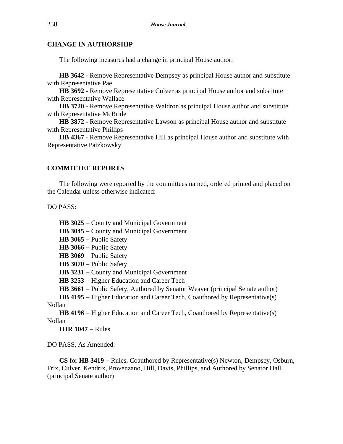#### **CHANGE IN AUTHORSHIP**

The following measures had a change in principal House author:

**HB 3642 -** Remove Representative Dempsey as principal House author and substitute with Representative Pae

**HB 3692 -** Remove Representative Culver as principal House author and substitute with Representative Wallace

**HB 3720 -** Remove Representative Waldron as principal House author and substitute with Representative McBride

**HB 3872 -** Remove Representative Lawson as principal House author and substitute with Representative Phillips

**HB 4367 -** Remove Representative Hill as principal House author and substitute with Representative Patzkowsky

#### **COMMITTEE REPORTS**

The following were reported by the committees named, ordered printed and placed on the Calendar unless otherwise indicated:

DO PASS:

**HB 3025** − County and Municipal Government

**HB 3045** − County and Municipal Government

**HB 3065** − Public Safety

**HB 3066** − Public Safety

**HB 3069** − Public Safety

**HB 3070** − Public Safety

**HB 3231** − County and Municipal Government

**HB 3253** − Higher Education and Career Tech

**HB 3661** − Public Safety, Authored by Senator Weaver (principal Senate author)

**HB 4195** − Higher Education and Career Tech, Coauthored by Representative(s) Nollan

**HB 4196** − Higher Education and Career Tech, Coauthored by Representative(s) Nollan

**HJR 1047** − Rules

DO PASS, As Amended:

**CS** for **HB 3419** − Rules, Coauthored by Representative(s) Newton, Dempsey, Osburn, Frix, Culver, Kendrix, Provenzano, Hill, Davis, Phillips, and Authored by Senator Hall (principal Senate author)